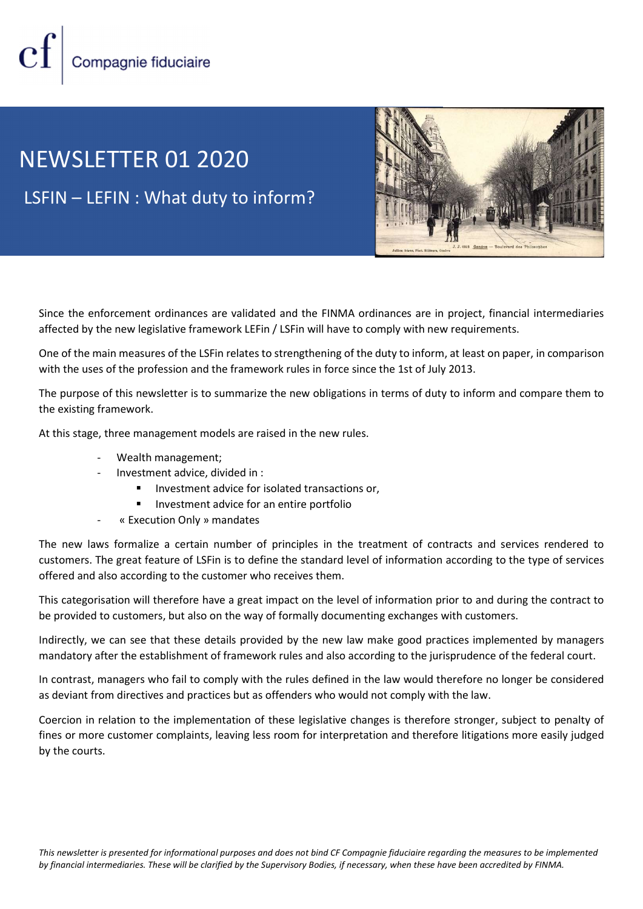## NEWSLETTER 01 2020 LSFIN – LEFIN : What duty to inform?



Since the enforcement ordinances are validated and the FINMA ordinances are in project, financial intermediaries affected by the new legislative framework LEFin / LSFin will have to comply with new requirements.

One of the main measures of the LSFin relates to strengthening of the duty to inform, at least on paper, in comparison with the uses of the profession and the framework rules in force since the 1st of July 2013.

The purpose of this newsletter is to summarize the new obligations in terms of duty to inform and compare them to the existing framework.

At this stage, three management models are raised in the new rules.

- Wealth management;
- Investment advice, divided in :
	- Investment advice for isolated transactions or,
	- **Investment advice for an entire portfolio**
- « Execution Only » mandates

The new laws formalize a certain number of principles in the treatment of contracts and services rendered to customers. The great feature of LSFin is to define the standard level of information according to the type of services offered and also according to the customer who receives them.

This categorisation will therefore have a great impact on the level of information prior to and during the contract to be provided to customers, but also on the way of formally documenting exchanges with customers.

Indirectly, we can see that these details provided by the new law make good practices implemented by managers mandatory after the establishment of framework rules and also according to the jurisprudence of the federal court.

In contrast, managers who fail to comply with the rules defined in the law would therefore no longer be considered as deviant from directives and practices but as offenders who would not comply with the law.

Coercion in relation to the implementation of these legislative changes is therefore stronger, subject to penalty of fines or more customer complaints, leaving less room for interpretation and therefore litigations more easily judged by the courts.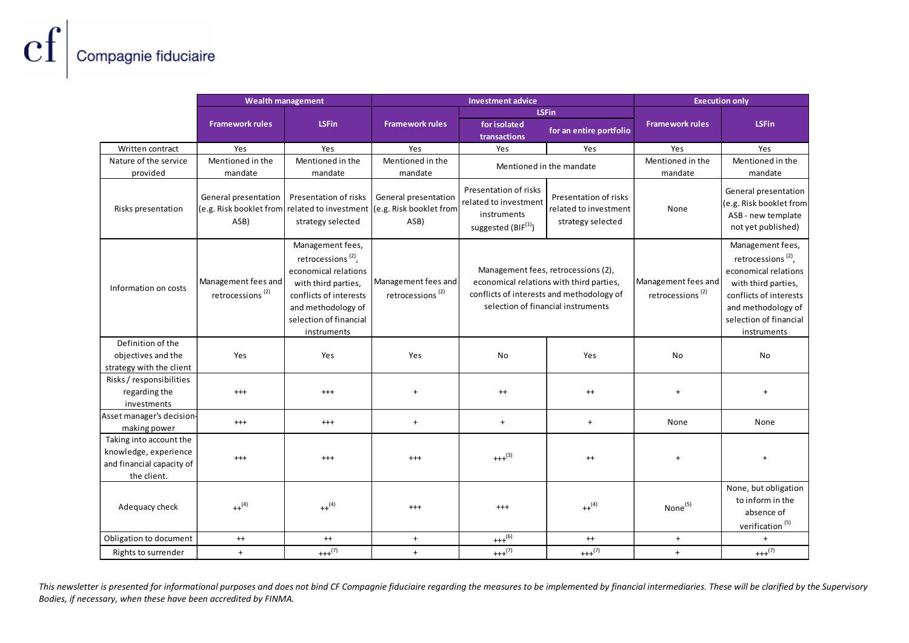|                                                                                              | <b>Wealth management</b>                              |                                                                                                                                                                                            | <b>Investment advice</b><br><b>LSFin</b>            |                                                                                                                                                                    |                                            | <b>Execution only</b>                               |                                                                                                                                                                                            |
|----------------------------------------------------------------------------------------------|-------------------------------------------------------|--------------------------------------------------------------------------------------------------------------------------------------------------------------------------------------------|-----------------------------------------------------|--------------------------------------------------------------------------------------------------------------------------------------------------------------------|--------------------------------------------|-----------------------------------------------------|--------------------------------------------------------------------------------------------------------------------------------------------------------------------------------------------|
|                                                                                              | <b>Framework rules</b>                                | <b>LSFin</b>                                                                                                                                                                               | <b>Framework rules</b>                              | for isolated<br>transactions                                                                                                                                       | for an entire portfolio                    | <b>Framework rules</b>                              | <b>LSFin</b>                                                                                                                                                                               |
| Written contract                                                                             | Yes                                                   | Yes                                                                                                                                                                                        | Yes                                                 | Yes                                                                                                                                                                | Yes                                        | Yes                                                 | Yes                                                                                                                                                                                        |
| Nature of the service                                                                        | Mentioned in the                                      | Mentioned in the                                                                                                                                                                           | Mentioned in the                                    | Mentioned in the mandate                                                                                                                                           |                                            | Mentioned in the                                    | Mentioned in the                                                                                                                                                                           |
| provided                                                                                     | mandate<br>General presentation                       | mandate<br>Presentation of risks                                                                                                                                                           | mandate<br>General presentation                     | Presentation of risks                                                                                                                                              | Presentation of risks                      | mandate                                             | mandate<br>General presentation                                                                                                                                                            |
| Risks presentation                                                                           | (e.g. Risk booklet from related to investment<br>ASB) | strategy selected                                                                                                                                                                          | (e.g. Risk booklet from<br>ASB)                     | related to investment<br>instruments<br>suggested (BIF <sup>(1)</sup> )                                                                                            | related to investment<br>strategy selected | None                                                | (e.g. Risk booklet from<br>ASB - new template<br>not yet published)                                                                                                                        |
| Information on costs                                                                         | Management fees and<br>retrocessions <sup>(2)</sup>   | Management fees,<br>retrocessions <sup>(2)</sup> ,<br>economical relations<br>with third parties,<br>conflicts of interests<br>and methodology of<br>selection of financial<br>instruments | Management fees and<br>retrocessions <sup>(2)</sup> | Management fees, retrocessions (2),<br>economical relations with third parties,<br>conflicts of interests and methodology of<br>selection of financial instruments |                                            | Management fees and<br>retrocessions <sup>(2)</sup> | Management fees,<br>retrocessions <sup>(2)</sup> ,<br>economical relations<br>with third parties,<br>conflicts of interests<br>and methodology of<br>selection of financial<br>instruments |
| Definition of the                                                                            |                                                       |                                                                                                                                                                                            |                                                     |                                                                                                                                                                    |                                            |                                                     |                                                                                                                                                                                            |
| objectives and the                                                                           | Yes                                                   | Yes                                                                                                                                                                                        | Yes                                                 | No                                                                                                                                                                 | Yes                                        | No                                                  | No                                                                                                                                                                                         |
| strategy with the client<br>Risks / responsibilities                                         |                                                       |                                                                                                                                                                                            |                                                     |                                                                                                                                                                    |                                            |                                                     |                                                                                                                                                                                            |
| regarding the<br>investments                                                                 | $^{+++}$                                              | $^{+++}$                                                                                                                                                                                   | $\ddot{}$                                           | $^{++}$                                                                                                                                                            | $^{++}$                                    | $\pmb{+}$                                           | $+$                                                                                                                                                                                        |
| Asset manager's decision<br>making power                                                     | $^{+++}$                                              | $^{+++}$                                                                                                                                                                                   | $+$                                                 | $+$                                                                                                                                                                | $+$                                        | None                                                | None                                                                                                                                                                                       |
| Taking into account the<br>knowledge, experience<br>and financial capacity of<br>the client. | $^{+++}$                                              | $^{+++}$                                                                                                                                                                                   | $^{+++}$                                            | $+++(3)$                                                                                                                                                           | $^{++}$                                    | $\pmb{+}$                                           | $+$                                                                                                                                                                                        |
| Adequacy check                                                                               | $++^{(4)}$                                            | $++^{(4)}$                                                                                                                                                                                 | $^{++}$                                             | $^{+++}$                                                                                                                                                           | $++^{(4)}$                                 | None <sup>(5)</sup>                                 | None, but obligation<br>to inform in the<br>absence of<br>verification <sup>(5)</sup>                                                                                                      |
| Obligation to document                                                                       | $^{++}$                                               | $^{++}$                                                                                                                                                                                    | $+$                                                 | $+++(6)$                                                                                                                                                           | $^{++}$                                    | $+$                                                 | $+$                                                                                                                                                                                        |
| Rights to surrender                                                                          | $\pm$                                                 | $++(7)$                                                                                                                                                                                    | $+$                                                 | $+++(7)$                                                                                                                                                           | $++(7)$                                    | $+$                                                 | $++(7)$                                                                                                                                                                                    |

This newsletter is presented for informational purposes and does not bind CF Compagnie fiduciaire regarding the measures to be implemented by financial intermediaries. These will be clarified by the Supervisory Bodies, if necessary, when these have been accredited by FINMA.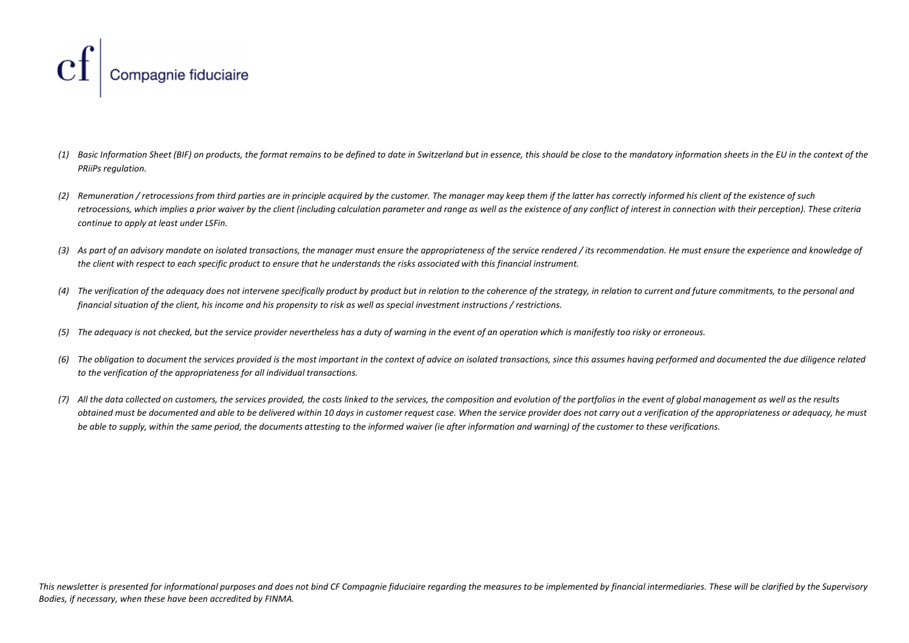

- (1) Basic Information Sheet (BIF) on products, the format remains to be defined to date in Switzerland but in essence, this should be close to the mandatory information sheets in the EU in the context of the PRiiPs regulation.
- (2) Remuneration / retrocessions from third parties are in principle acquired by the customer. The manager may keep them if the latter has correctly informed his client of the existence of such retrocessions, which implies a prior waiver by the client (including calculation parameter and range as well as the existence of any conflict of interest in connection with their perception). These criteria continue to apply at least under LSFin.
- (3) As part of an advisory mandate on isolated transactions, the manager must ensure the appropriateness of the service rendered / its recommendation. He must ensure the experience and knowledge of the client with respect to each specific product to ensure that he understands the risks associated with this financial instrument.
- (4) The verification of the adequacy does not intervene specifically product by product but in relation to the coherence of the strategy, in relation to current and future commitments, to the personal and financial situation of the client, his income and his propensity to risk as well as special investment instructions / restrictions.
- (5) The adequacy is not checked, but the service provider nevertheless has a duty of warning in the event of an operation which is manifestly too risky or erroneous.
- (6) The obligation to document the services provided is the most important in the context of advice on isolated transactions, since this assumes having performed and documented the due diligence related to the verification of the appropriateness for all individual transactions.
- (7) All the data collected on customers, the services provided, the costs linked to the services, the composition and evolution of the portfolios in the event of global management as well as the results obtained must be documented and able to be delivered within 10 days in customer request case. When the service provider does not carry out a verification of the appropriateness or adequacy, he must be able to supply, within the same period, the documents attesting to the informed waiver (ie after information and warning) of the customer to these verifications.